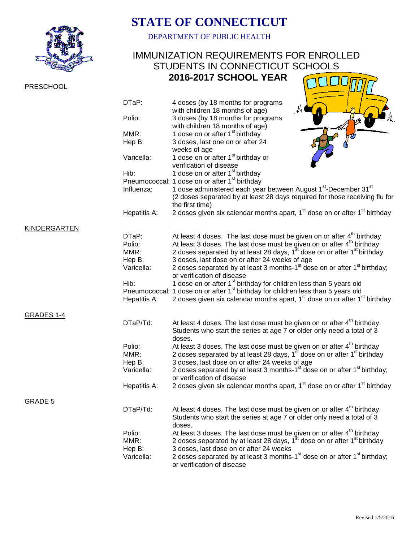

## **PRESCHOOL**

## **STATE OF CONNECTICUT**

DEPARTMENT OF PUBLIC HEALTH

## IMMUNIZATION REQUIREMENTS FOR ENROLLED STUDENTS IN CONNECTICUT SCHOOLS  **2016-2017 SCHOOL YEAR** H.  $\bar{H}\Gamma'$

|                     | DTaP:                                  | 4 doses (by 18 months for programs<br>with children 18 months of age)                                                                                                                                                                                                                                                        |
|---------------------|----------------------------------------|------------------------------------------------------------------------------------------------------------------------------------------------------------------------------------------------------------------------------------------------------------------------------------------------------------------------------|
|                     | Polio:                                 | 3 doses (by 18 months for programs<br>with children 18 months of age)                                                                                                                                                                                                                                                        |
|                     | MMR:                                   | 1 dose on or after 1 <sup>st</sup> birthday                                                                                                                                                                                                                                                                                  |
|                     | Hep B:                                 | 3 doses, last one on or after 24<br>weeks of age                                                                                                                                                                                                                                                                             |
|                     | Varicella:                             | 1 dose on or after 1 <sup>st</sup> birthday or<br>verification of disease                                                                                                                                                                                                                                                    |
|                     | Hib:                                   | 1 dose on or after 1 <sup>st</sup> birthday                                                                                                                                                                                                                                                                                  |
|                     |                                        | Pneumococcal: 1 dose on or after 1 <sup>st</sup> birthday                                                                                                                                                                                                                                                                    |
|                     | Influenza:                             | 1 dose administered each year between August 1 <sup>st</sup> -December 31 <sup>st</sup><br>(2 doses separated by at least 28 days required for those receiving flu for<br>the first time)                                                                                                                                    |
|                     | Hepatitis A:                           | 2 doses given six calendar months apart, 1 <sup>st</sup> dose on or after 1 <sup>st</sup> birthday                                                                                                                                                                                                                           |
| <b>KINDERGARTEN</b> |                                        |                                                                                                                                                                                                                                                                                                                              |
|                     | DTaP:                                  | At least 4 doses. The last dose must be given on or after 4 <sup>th</sup> birthday                                                                                                                                                                                                                                           |
|                     | Polio:                                 | At least 3 doses. The last dose must be given on or after $4th$ birthday                                                                                                                                                                                                                                                     |
|                     | MMR:                                   | 2 doses separated by at least 28 days, 1 <sup>st</sup> dose on or after 1 <sup>st</sup> birthday                                                                                                                                                                                                                             |
|                     | Hep B:                                 | 3 doses, last dose on or after 24 weeks of age                                                                                                                                                                                                                                                                               |
|                     | Varicella:                             | 2 doses separated by at least 3 months-1 <sup>st</sup> dose on or after 1 <sup>st</sup> birthday;<br>or verification of disease                                                                                                                                                                                              |
|                     | Hib:                                   | 1 dose on or after 1 <sup>st</sup> birthday for children less than 5 years old                                                                                                                                                                                                                                               |
|                     |                                        | Pneumococcal: 1 dose on or after 1 <sup>st</sup> birthday for children less than 5 years old                                                                                                                                                                                                                                 |
|                     | Hepatitis A:                           | 2 doses given six calendar months apart, 1 <sup>st</sup> dose on or after 1 <sup>st</sup> birthday                                                                                                                                                                                                                           |
| GRADES 1-4          |                                        |                                                                                                                                                                                                                                                                                                                              |
|                     | DTaP/Td:                               | At least 4 doses. The last dose must be given on or after $4th$ birthday.<br>Students who start the series at age 7 or older only need a total of 3<br>doses.                                                                                                                                                                |
|                     | Polio:                                 | At least 3 doses. The last dose must be given on or after 4 <sup>th</sup> birthday                                                                                                                                                                                                                                           |
|                     | MMR:                                   | 2 doses separated by at least 28 days, 1 <sup>st</sup> dose on or after 1 <sup>st</sup> birthday                                                                                                                                                                                                                             |
|                     | Hep B:                                 | 3 doses, last dose on or after 24 weeks of age                                                                                                                                                                                                                                                                               |
|                     | Varicella:                             | 2 doses separated by at least 3 months-1 <sup>st</sup> dose on or after 1 <sup>st</sup> birthday;<br>or verification of disease                                                                                                                                                                                              |
|                     | Hepatitis A:                           | 2 doses given six calendar months apart, 1 <sup>st</sup> dose on or after 1 <sup>st</sup> birthday                                                                                                                                                                                                                           |
| <b>GRADE 5</b>      |                                        |                                                                                                                                                                                                                                                                                                                              |
|                     | DTaP/Td:                               | At least 4 doses. The last dose must be given on or after 4 <sup>th</sup> birthday.<br>Students who start the series at age 7 or older only need a total of 3<br>doses.                                                                                                                                                      |
|                     | Polio:<br>MMR:<br>Hep B:<br>Varicella: | At least 3 doses. The last dose must be given on or after $4th$ birthday<br>2 doses separated by at least 28 days, 1 <sup>st</sup> dose on or after 1 <sup>st</sup> birthday<br>3 doses, last dose on or after 24 weeks<br>2 doses separated by at least 3 months-1 <sup>st</sup> dose on or after 1 <sup>st</sup> birthday; |
|                     |                                        | or verification of disease                                                                                                                                                                                                                                                                                                   |